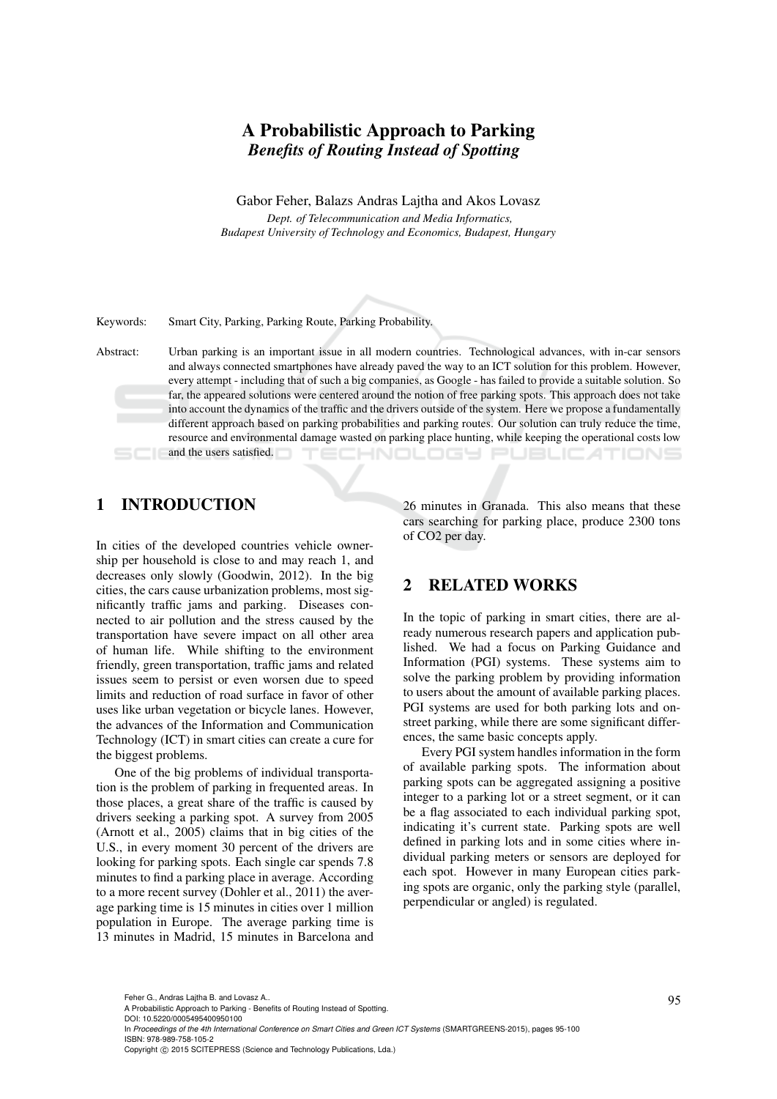# A Probabilistic Approach to Parking *Benefits of Routing Instead of Spotting*

Gabor Feher, Balazs Andras Lajtha and Akos Lovasz

*Dept. of Telecommunication and Media Informatics, Budapest University of Technology and Economics, Budapest, Hungary*

Keywords: Smart City, Parking, Parking Route, Parking Probability.

Abstract: Urban parking is an important issue in all modern countries. Technological advances, with in-car sensors and always connected smartphones have already paved the way to an ICT solution for this problem. However, every attempt - including that of such a big companies, as Google - has failed to provide a suitable solution. So far, the appeared solutions were centered around the notion of free parking spots. This approach does not take into account the dynamics of the traffic and the drivers outside of the system. Here we propose a fundamentally different approach based on parking probabilities and parking routes. Our solution can truly reduce the time, resource and environmental damage wasted on parking place hunting, while keeping the operational costs low and the users satisfied. ECHNOLOGY Pl JBLIC ATIONS

### 1 INTRODUCTION

In cities of the developed countries vehicle ownership per household is close to and may reach 1, and decreases only slowly (Goodwin, 2012). In the big cities, the cars cause urbanization problems, most significantly traffic jams and parking. Diseases connected to air pollution and the stress caused by the transportation have severe impact on all other area of human life. While shifting to the environment friendly, green transportation, traffic jams and related issues seem to persist or even worsen due to speed limits and reduction of road surface in favor of other uses like urban vegetation or bicycle lanes. However, the advances of the Information and Communication Technology (ICT) in smart cities can create a cure for the biggest problems.

One of the big problems of individual transportation is the problem of parking in frequented areas. In those places, a great share of the traffic is caused by drivers seeking a parking spot. A survey from 2005 (Arnott et al., 2005) claims that in big cities of the U.S., in every moment 30 percent of the drivers are looking for parking spots. Each single car spends 7.8 minutes to find a parking place in average. According to a more recent survey (Dohler et al., 2011) the average parking time is 15 minutes in cities over 1 million population in Europe. The average parking time is 13 minutes in Madrid, 15 minutes in Barcelona and 26 minutes in Granada. This also means that these cars searching for parking place, produce 2300 tons of CO2 per day.

### 2 RELATED WORKS

In the topic of parking in smart cities, there are already numerous research papers and application published. We had a focus on Parking Guidance and Information (PGI) systems. These systems aim to solve the parking problem by providing information to users about the amount of available parking places. PGI systems are used for both parking lots and onstreet parking, while there are some significant differences, the same basic concepts apply.

Every PGI system handles information in the form of available parking spots. The information about parking spots can be aggregated assigning a positive integer to a parking lot or a street segment, or it can be a flag associated to each individual parking spot, indicating it's current state. Parking spots are well defined in parking lots and in some cities where individual parking meters or sensors are deployed for each spot. However in many European cities parking spots are organic, only the parking style (parallel, perpendicular or angled) is regulated.

In *Proceedings of the 4th International Conference on Smart Cities and Green ICT Systems* (SMARTGREENS-2015), pages 95-100 ISBN: 978-989-758-105-2

Feher G., Andras Lajtha B. and Lovasz A..<br>A Probabilistic Approach to Parking - Benefits of Routing Instead of Spotting. DOI: 10.5220/0005495400950100

Copyright © 2015 SCITEPRESS (Science and Technology Publications, Lda.)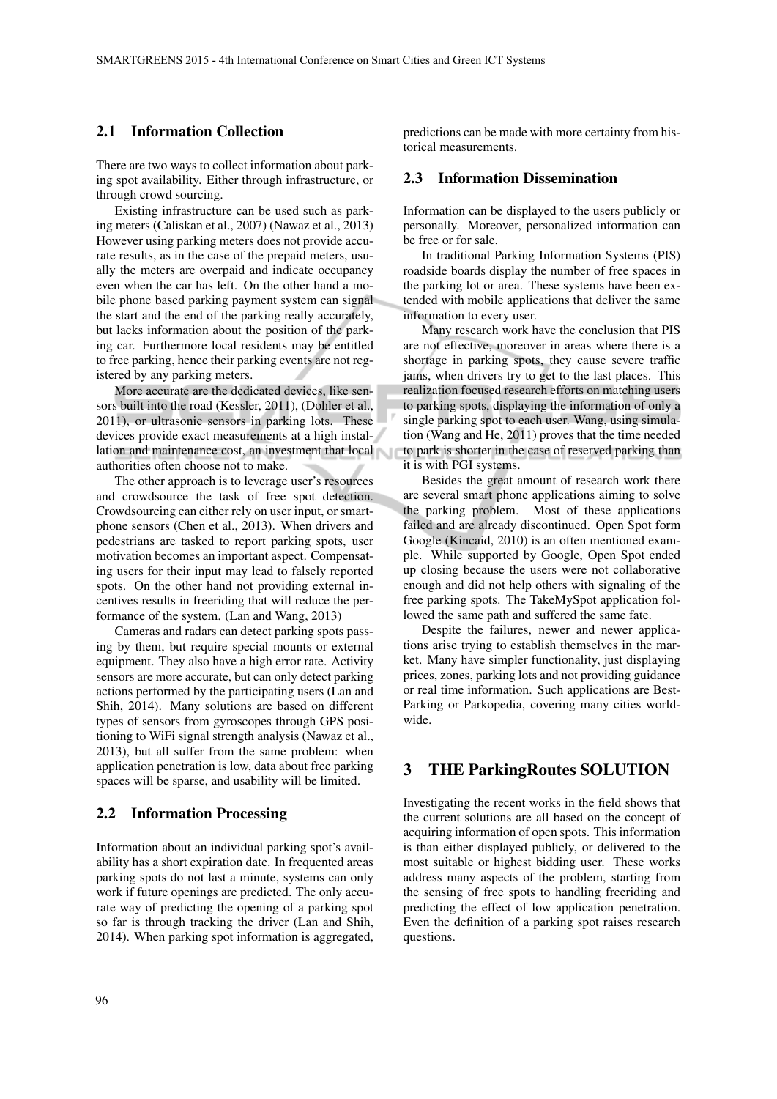### 2.1 Information Collection

There are two ways to collect information about parking spot availability. Either through infrastructure, or through crowd sourcing.

Existing infrastructure can be used such as parking meters (Caliskan et al., 2007) (Nawaz et al., 2013) However using parking meters does not provide accurate results, as in the case of the prepaid meters, usually the meters are overpaid and indicate occupancy even when the car has left. On the other hand a mobile phone based parking payment system can signal the start and the end of the parking really accurately, but lacks information about the position of the parking car. Furthermore local residents may be entitled to free parking, hence their parking events are not registered by any parking meters.

More accurate are the dedicated devices, like sensors built into the road (Kessler, 2011), (Dohler et al., 2011), or ultrasonic sensors in parking lots. These devices provide exact measurements at a high installation and maintenance cost, an investment that local authorities often choose not to make.

The other approach is to leverage user's resources and crowdsource the task of free spot detection. Crowdsourcing can either rely on user input, or smartphone sensors (Chen et al., 2013). When drivers and pedestrians are tasked to report parking spots, user motivation becomes an important aspect. Compensating users for their input may lead to falsely reported spots. On the other hand not providing external incentives results in freeriding that will reduce the performance of the system. (Lan and Wang, 2013)

Cameras and radars can detect parking spots passing by them, but require special mounts or external equipment. They also have a high error rate. Activity sensors are more accurate, but can only detect parking actions performed by the participating users (Lan and Shih, 2014). Many solutions are based on different types of sensors from gyroscopes through GPS positioning to WiFi signal strength analysis (Nawaz et al., 2013), but all suffer from the same problem: when application penetration is low, data about free parking spaces will be sparse, and usability will be limited.

### 2.2 Information Processing

Information about an individual parking spot's availability has a short expiration date. In frequented areas parking spots do not last a minute, systems can only work if future openings are predicted. The only accurate way of predicting the opening of a parking spot so far is through tracking the driver (Lan and Shih, 2014). When parking spot information is aggregated, predictions can be made with more certainty from historical measurements.

### 2.3 Information Dissemination

Information can be displayed to the users publicly or personally. Moreover, personalized information can be free or for sale.

In traditional Parking Information Systems (PIS) roadside boards display the number of free spaces in the parking lot or area. These systems have been extended with mobile applications that deliver the same information to every user.

Many research work have the conclusion that PIS are not effective, moreover in areas where there is a shortage in parking spots, they cause severe traffic jams, when drivers try to get to the last places. This realization focused research efforts on matching users to parking spots, displaying the information of only a single parking spot to each user. Wang, using simulation (Wang and He, 2011) proves that the time needed to park is shorter in the case of reserved parking than it is with PGI systems.

Besides the great amount of research work there are several smart phone applications aiming to solve the parking problem. Most of these applications failed and are already discontinued. Open Spot form Google (Kincaid, 2010) is an often mentioned example. While supported by Google, Open Spot ended up closing because the users were not collaborative enough and did not help others with signaling of the free parking spots. The TakeMySpot application followed the same path and suffered the same fate.

Despite the failures, newer and newer applications arise trying to establish themselves in the market. Many have simpler functionality, just displaying prices, zones, parking lots and not providing guidance or real time information. Such applications are Best-Parking or Parkopedia, covering many cities worldwide.

### 3 THE ParkingRoutes SOLUTION

Investigating the recent works in the field shows that the current solutions are all based on the concept of acquiring information of open spots. This information is than either displayed publicly, or delivered to the most suitable or highest bidding user. These works address many aspects of the problem, starting from the sensing of free spots to handling freeriding and predicting the effect of low application penetration. Even the definition of a parking spot raises research questions.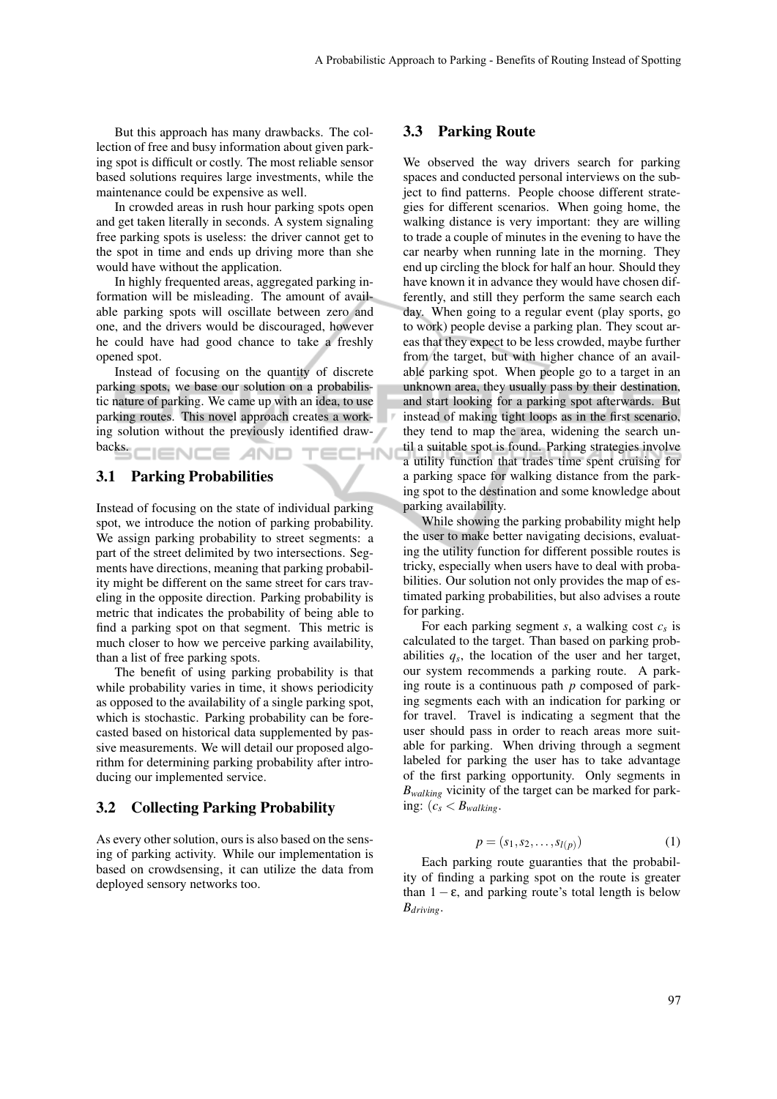But this approach has many drawbacks. The collection of free and busy information about given parking spot is difficult or costly. The most reliable sensor based solutions requires large investments, while the maintenance could be expensive as well.

In crowded areas in rush hour parking spots open and get taken literally in seconds. A system signaling free parking spots is useless: the driver cannot get to the spot in time and ends up driving more than she would have without the application.

In highly frequented areas, aggregated parking information will be misleading. The amount of available parking spots will oscillate between zero and one, and the drivers would be discouraged, however he could have had good chance to take a freshly opened spot.

Instead of focusing on the quantity of discrete parking spots, we base our solution on a probabilistic nature of parking. We came up with an idea, to use parking routes. This novel approach creates a working solution without the previously identified drawbacks.

#### **IENCE AND** TECHNI

### 3.1 Parking Probabilities

Instead of focusing on the state of individual parking spot, we introduce the notion of parking probability. We assign parking probability to street segments: a part of the street delimited by two intersections. Segments have directions, meaning that parking probability might be different on the same street for cars traveling in the opposite direction. Parking probability is metric that indicates the probability of being able to find a parking spot on that segment. This metric is much closer to how we perceive parking availability, than a list of free parking spots.

The benefit of using parking probability is that while probability varies in time, it shows periodicity as opposed to the availability of a single parking spot, which is stochastic. Parking probability can be forecasted based on historical data supplemented by passive measurements. We will detail our proposed algorithm for determining parking probability after introducing our implemented service.

#### 3.2 Collecting Parking Probability

As every other solution, ours is also based on the sensing of parking activity. While our implementation is based on crowdsensing, it can utilize the data from deployed sensory networks too.

### 3.3 Parking Route

We observed the way drivers search for parking spaces and conducted personal interviews on the subject to find patterns. People choose different strategies for different scenarios. When going home, the walking distance is very important: they are willing to trade a couple of minutes in the evening to have the car nearby when running late in the morning. They end up circling the block for half an hour. Should they have known it in advance they would have chosen differently, and still they perform the same search each day. When going to a regular event (play sports, go to work) people devise a parking plan. They scout areas that they expect to be less crowded, maybe further from the target, but with higher chance of an available parking spot. When people go to a target in an unknown area, they usually pass by their destination, and start looking for a parking spot afterwards. But instead of making tight loops as in the first scenario, they tend to map the area, widening the search until a suitable spot is found. Parking strategies involve a utility function that trades time spent cruising for a parking space for walking distance from the parking spot to the destination and some knowledge about parking availability.

While showing the parking probability might help the user to make better navigating decisions, evaluating the utility function for different possible routes is tricky, especially when users have to deal with probabilities. Our solution not only provides the map of estimated parking probabilities, but also advises a route for parking.

For each parking segment *s*, a walking cost *c<sup>s</sup>* is calculated to the target. Than based on parking probabilities  $q_s$ , the location of the user and her target, our system recommends a parking route. A parking route is a continuous path *p* composed of parking segments each with an indication for parking or for travel. Travel is indicating a segment that the user should pass in order to reach areas more suitable for parking. When driving through a segment labeled for parking the user has to take advantage of the first parking opportunity. Only segments in *Bwalking* vicinity of the target can be marked for parking:  $(c_s < B_{\text{waltung}})$ .

$$
p = (s_1, s_2, \dots, s_{l(p)})
$$
 (1)

Each parking route guaranties that the probability of finding a parking spot on the route is greater than  $1 - \varepsilon$ , and parking route's total length is below *Bdriving*.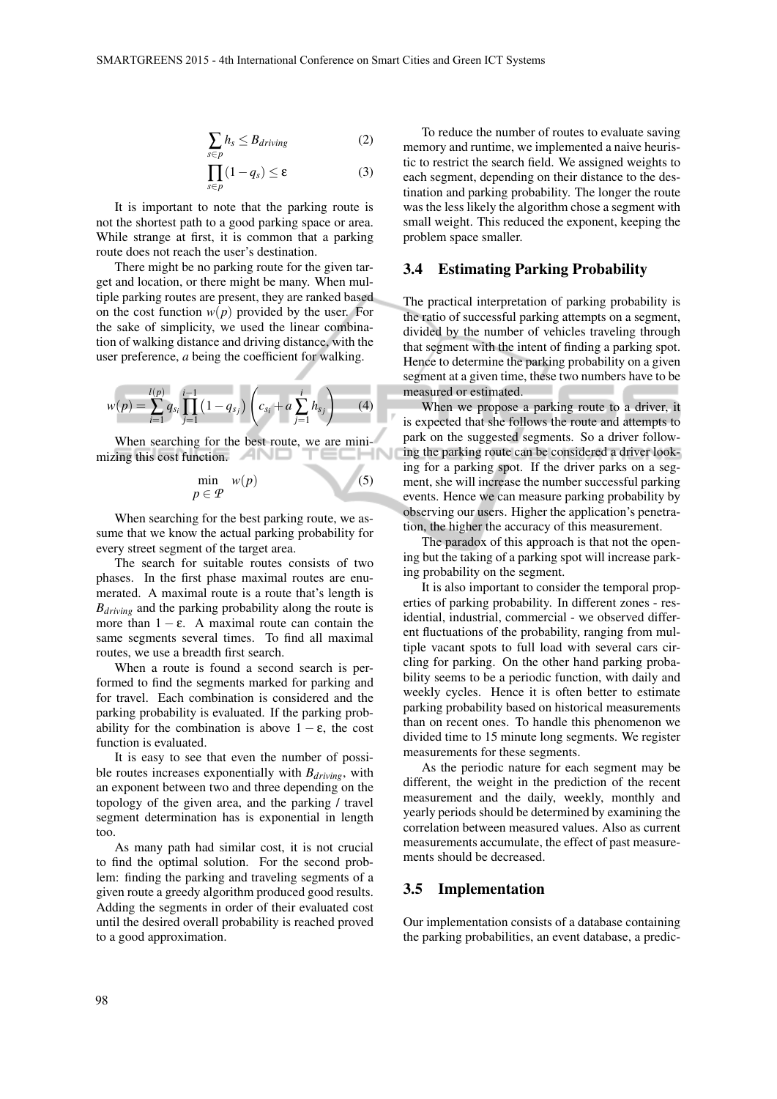$$
\sum_{s \in p} h_s \leq B_{driving} \tag{2}
$$

$$
\prod_{s \in p} (1 - q_s) \le \varepsilon \tag{3}
$$

It is important to note that the parking route is not the shortest path to a good parking space or area. While strange at first, it is common that a parking route does not reach the user's destination.

There might be no parking route for the given target and location, or there might be many. When multiple parking routes are present, they are ranked based on the cost function  $w(p)$  provided by the user. For the sake of simplicity, we used the linear combination of walking distance and driving distance, with the user preference, *a* being the coefficient for walking.

$$
w(p) = \sum_{i=1}^{l(p)} q_{s_i} \prod_{j=1}^{i-1} (1 - q_{s_j}) \left( c_{s_i} + a \sum_{j=1}^{i} h_{s_j} \right) \tag{4}
$$

When searching for the best route, we are minimizing this cost function. **The same is a straining that the straining of the straining of the straining of the straining of the straining of the straining of the straining of the straining of the straining of the strainin** 

$$
\min_{p \in \mathcal{P}} w(p) \tag{5}
$$

When searching for the best parking route, we assume that we know the actual parking probability for every street segment of the target area.

The search for suitable routes consists of two phases. In the first phase maximal routes are enumerated. A maximal route is a route that's length is *Bdriving* and the parking probability along the route is more than  $1 - \varepsilon$ . A maximal route can contain the same segments several times. To find all maximal routes, we use a breadth first search.

When a route is found a second search is performed to find the segments marked for parking and for travel. Each combination is considered and the parking probability is evaluated. If the parking probability for the combination is above  $1 - \varepsilon$ , the cost function is evaluated.

It is easy to see that even the number of possible routes increases exponentially with *Bdriving*, with an exponent between two and three depending on the topology of the given area, and the parking / travel segment determination has is exponential in length too.

As many path had similar cost, it is not crucial to find the optimal solution. For the second problem: finding the parking and traveling segments of a given route a greedy algorithm produced good results. Adding the segments in order of their evaluated cost until the desired overall probability is reached proved to a good approximation.

To reduce the number of routes to evaluate saving memory and runtime, we implemented a naive heuristic to restrict the search field. We assigned weights to each segment, depending on their distance to the destination and parking probability. The longer the route was the less likely the algorithm chose a segment with small weight. This reduced the exponent, keeping the problem space smaller.

### 3.4 Estimating Parking Probability

The practical interpretation of parking probability is the ratio of successful parking attempts on a segment, divided by the number of vehicles traveling through that segment with the intent of finding a parking spot. Hence to determine the parking probability on a given segment at a given time, these two numbers have to be measured or estimated.

When we propose a parking route to a driver, it is expected that she follows the route and attempts to park on the suggested segments. So a driver following the parking route can be considered a driver looking for a parking spot. If the driver parks on a segment, she will increase the number successful parking events. Hence we can measure parking probability by observing our users. Higher the application's penetration, the higher the accuracy of this measurement.

The paradox of this approach is that not the opening but the taking of a parking spot will increase parking probability on the segment.

It is also important to consider the temporal properties of parking probability. In different zones - residential, industrial, commercial - we observed different fluctuations of the probability, ranging from multiple vacant spots to full load with several cars circling for parking. On the other hand parking probability seems to be a periodic function, with daily and weekly cycles. Hence it is often better to estimate parking probability based on historical measurements than on recent ones. To handle this phenomenon we divided time to 15 minute long segments. We register measurements for these segments.

As the periodic nature for each segment may be different, the weight in the prediction of the recent measurement and the daily, weekly, monthly and yearly periods should be determined by examining the correlation between measured values. Also as current measurements accumulate, the effect of past measurements should be decreased.

#### 3.5 Implementation

Our implementation consists of a database containing the parking probabilities, an event database, a predic-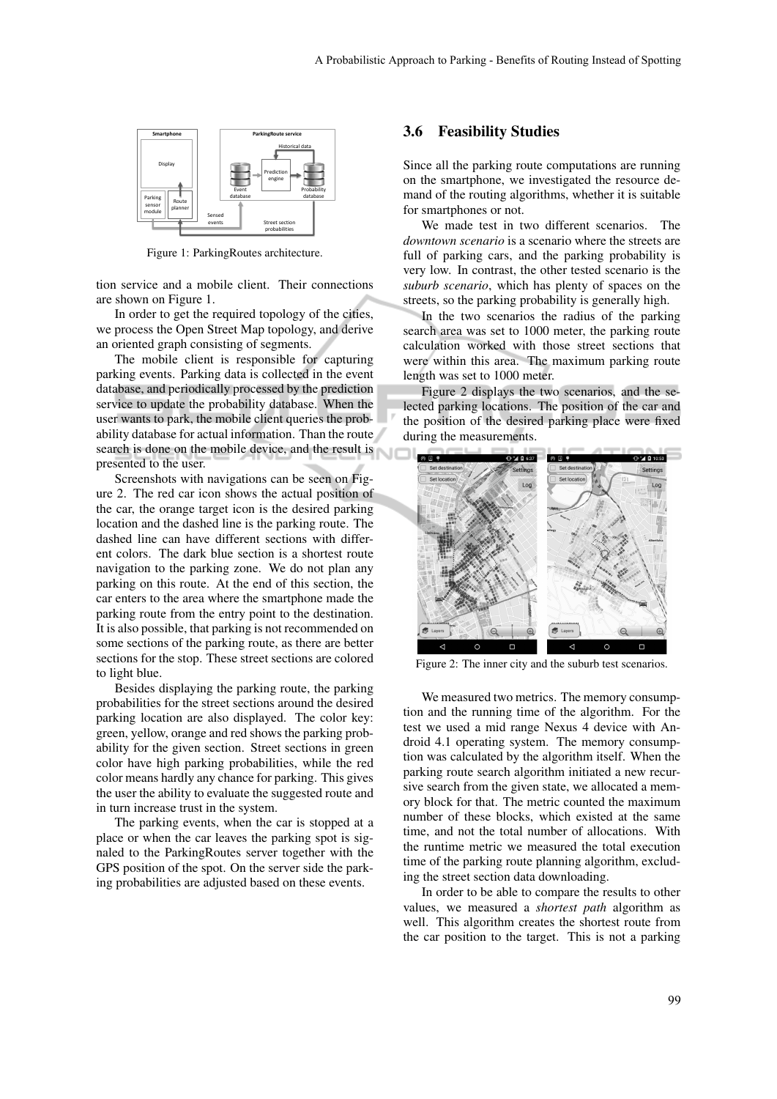

Figure 1: ParkingRoutes architecture.

tion service and a mobile client. Their connections are shown on Figure 1.

In order to get the required topology of the cities, we process the Open Street Map topology, and derive an oriented graph consisting of segments.

The mobile client is responsible for capturing parking events. Parking data is collected in the event database, and periodically processed by the prediction service to update the probability database. When the user wants to park, the mobile client queries the probability database for actual information. Than the route search is done on the mobile device, and the result is presented to the user.

Screenshots with navigations can be seen on Figure 2. The red car icon shows the actual position of the car, the orange target icon is the desired parking location and the dashed line is the parking route. The dashed line can have different sections with different colors. The dark blue section is a shortest route navigation to the parking zone. We do not plan any parking on this route. At the end of this section, the car enters to the area where the smartphone made the parking route from the entry point to the destination. It is also possible, that parking is not recommended on some sections of the parking route, as there are better sections for the stop. These street sections are colored to light blue.

Besides displaying the parking route, the parking probabilities for the street sections around the desired parking location are also displayed. The color key: green, yellow, orange and red shows the parking probability for the given section. Street sections in green color have high parking probabilities, while the red color means hardly any chance for parking. This gives the user the ability to evaluate the suggested route and in turn increase trust in the system.

The parking events, when the car is stopped at a place or when the car leaves the parking spot is signaled to the ParkingRoutes server together with the GPS position of the spot. On the server side the parking probabilities are adjusted based on these events.

### 3.6 Feasibility Studies

Since all the parking route computations are running on the smartphone, we investigated the resource demand of the routing algorithms, whether it is suitable for smartphones or not.

We made test in two different scenarios. The *downtown scenario* is a scenario where the streets are full of parking cars, and the parking probability is very low. In contrast, the other tested scenario is the *suburb scenario*, which has plenty of spaces on the streets, so the parking probability is generally high.

In the two scenarios the radius of the parking search area was set to 1000 meter, the parking route calculation worked with those street sections that were within this area. The maximum parking route length was set to 1000 meter.

Figure 2 displays the two scenarios, and the selected parking locations. The position of the car and the position of the desired parking place were fixed during the measurements.



Figure 2: The inner city and the suburb test scenarios.

We measured two metrics. The memory consumption and the running time of the algorithm. For the test we used a mid range Nexus 4 device with Android 4.1 operating system. The memory consumption was calculated by the algorithm itself. When the parking route search algorithm initiated a new recursive search from the given state, we allocated a memory block for that. The metric counted the maximum number of these blocks, which existed at the same time, and not the total number of allocations. With the runtime metric we measured the total execution time of the parking route planning algorithm, excluding the street section data downloading.

In order to be able to compare the results to other values, we measured a *shortest path* algorithm as well. This algorithm creates the shortest route from the car position to the target. This is not a parking